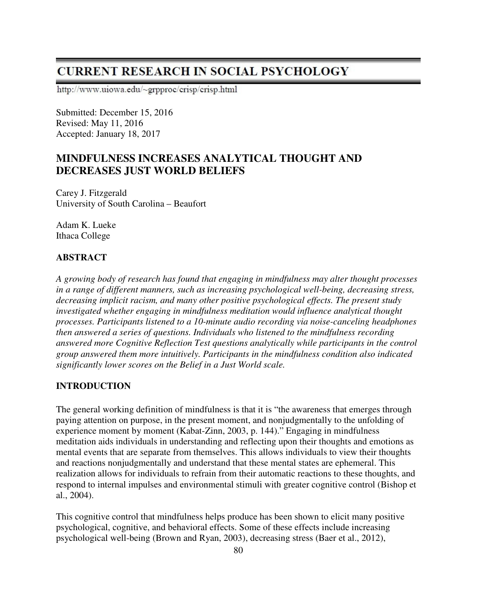# **CURRENT RESEARCH IN SOCIAL PSYCHOLOGY**

http://www.uiowa.edu/~grpproc/crisp/crisp.html

Submitted: December 15, 2016 Revised: May 11, 2016 Accepted: January 18, 2017

## **MINDFULNESS INCREASES ANALYTICAL THOUGHT AND DECREASES JUST WORLD BELIEFS**

Carey J. Fitzgerald University of South Carolina – Beaufort

Adam K. Lueke Ithaca College

## **ABSTRACT**

*A growing body of research has found that engaging in mindfulness may alter thought processes in a range of different manners, such as increasing psychological well-being, decreasing stress, decreasing implicit racism, and many other positive psychological effects. The present study investigated whether engaging in mindfulness meditation would influence analytical thought processes. Participants listened to a 10-minute audio recording via noise-canceling headphones then answered a series of questions. Individuals who listened to the mindfulness recording answered more Cognitive Reflection Test questions analytically while participants in the control group answered them more intuitively. Participants in the mindfulness condition also indicated significantly lower scores on the Belief in a Just World scale.* 

### **INTRODUCTION**

The general working definition of mindfulness is that it is "the awareness that emerges through paying attention on purpose, in the present moment, and nonjudgmentally to the unfolding of experience moment by moment (Kabat-Zinn, 2003, p. 144)." Engaging in mindfulness meditation aids individuals in understanding and reflecting upon their thoughts and emotions as mental events that are separate from themselves. This allows individuals to view their thoughts and reactions nonjudgmentally and understand that these mental states are ephemeral. This realization allows for individuals to refrain from their automatic reactions to these thoughts, and respond to internal impulses and environmental stimuli with greater cognitive control (Bishop et al., 2004).

This cognitive control that mindfulness helps produce has been shown to elicit many positive psychological, cognitive, and behavioral effects. Some of these effects include increasing psychological well-being (Brown and Ryan, 2003), decreasing stress (Baer et al., 2012),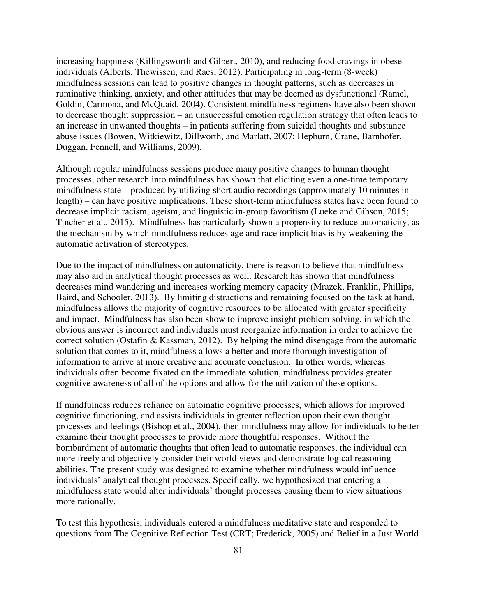increasing happiness (Killingsworth and Gilbert, 2010), and reducing food cravings in obese individuals (Alberts, Thewissen, and Raes, 2012). Participating in long-term (8-week) mindfulness sessions can lead to positive changes in thought patterns, such as decreases in ruminative thinking, anxiety, and other attitudes that may be deemed as dysfunctional (Ramel, Goldin, Carmona, and McQuaid, 2004). Consistent mindfulness regimens have also been shown to decrease thought suppression – an unsuccessful emotion regulation strategy that often leads to an increase in unwanted thoughts – in patients suffering from suicidal thoughts and substance abuse issues (Bowen, Witkiewitz, Dillworth, and Marlatt, 2007; Hepburn, Crane, Barnhofer, Duggan, Fennell, and Williams, 2009).

Although regular mindfulness sessions produce many positive changes to human thought processes, other research into mindfulness has shown that eliciting even a one-time temporary mindfulness state – produced by utilizing short audio recordings (approximately 10 minutes in length) – can have positive implications. These short-term mindfulness states have been found to decrease implicit racism, ageism, and linguistic in-group favoritism (Lueke and Gibson, 2015; Tincher et al., 2015). Mindfulness has particularly shown a propensity to reduce automaticity, as the mechanism by which mindfulness reduces age and race implicit bias is by weakening the automatic activation of stereotypes.

Due to the impact of mindfulness on automaticity, there is reason to believe that mindfulness may also aid in analytical thought processes as well. Research has shown that mindfulness decreases mind wandering and increases working memory capacity (Mrazek, Franklin, Phillips, Baird, and Schooler, 2013). By limiting distractions and remaining focused on the task at hand, mindfulness allows the majority of cognitive resources to be allocated with greater specificity and impact. Mindfulness has also been show to improve insight problem solving, in which the obvious answer is incorrect and individuals must reorganize information in order to achieve the correct solution (Ostafin & Kassman, 2012). By helping the mind disengage from the automatic solution that comes to it, mindfulness allows a better and more thorough investigation of information to arrive at more creative and accurate conclusion. In other words, whereas individuals often become fixated on the immediate solution, mindfulness provides greater cognitive awareness of all of the options and allow for the utilization of these options.

If mindfulness reduces reliance on automatic cognitive processes, which allows for improved cognitive functioning, and assists individuals in greater reflection upon their own thought processes and feelings (Bishop et al., 2004), then mindfulness may allow for individuals to better examine their thought processes to provide more thoughtful responses. Without the bombardment of automatic thoughts that often lead to automatic responses, the individual can more freely and objectively consider their world views and demonstrate logical reasoning abilities. The present study was designed to examine whether mindfulness would influence individuals' analytical thought processes. Specifically, we hypothesized that entering a mindfulness state would alter individuals' thought processes causing them to view situations more rationally.

To test this hypothesis, individuals entered a mindfulness meditative state and responded to questions from The Cognitive Reflection Test (CRT; Frederick, 2005) and Belief in a Just World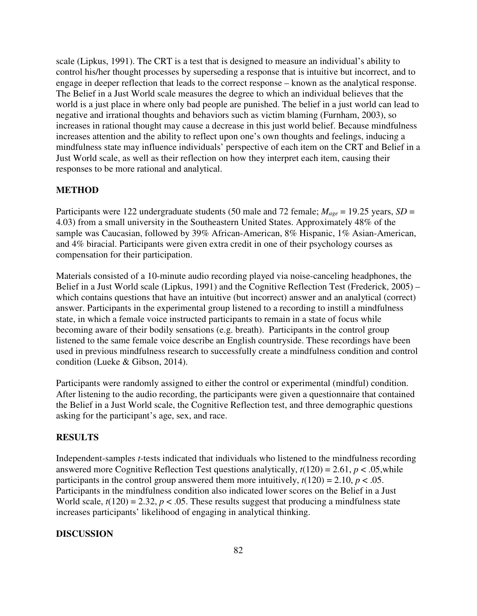scale (Lipkus, 1991). The CRT is a test that is designed to measure an individual's ability to control his/her thought processes by superseding a response that is intuitive but incorrect, and to engage in deeper reflection that leads to the correct response – known as the analytical response. The Belief in a Just World scale measures the degree to which an individual believes that the world is a just place in where only bad people are punished. The belief in a just world can lead to negative and irrational thoughts and behaviors such as victim blaming (Furnham, 2003), so increases in rational thought may cause a decrease in this just world belief. Because mindfulness increases attention and the ability to reflect upon one's own thoughts and feelings, inducing a mindfulness state may influence individuals' perspective of each item on the CRT and Belief in a Just World scale, as well as their reflection on how they interpret each item, causing their responses to be more rational and analytical.

#### **METHOD**

Participants were 122 undergraduate students (50 male and 72 female; *Mage* = 19.25 years, *SD* = 4.03) from a small university in the Southeastern United States. Approximately 48% of the sample was Caucasian, followed by 39% African-American, 8% Hispanic, 1% Asian-American, and 4% biracial. Participants were given extra credit in one of their psychology courses as compensation for their participation.

Materials consisted of a 10-minute audio recording played via noise-canceling headphones, the Belief in a Just World scale (Lipkus, 1991) and the Cognitive Reflection Test (Frederick, 2005) – which contains questions that have an intuitive (but incorrect) answer and an analytical (correct) answer. Participants in the experimental group listened to a recording to instill a mindfulness state, in which a female voice instructed participants to remain in a state of focus while becoming aware of their bodily sensations (e.g. breath). Participants in the control group listened to the same female voice describe an English countryside. These recordings have been used in previous mindfulness research to successfully create a mindfulness condition and control condition (Lueke & Gibson, 2014).

Participants were randomly assigned to either the control or experimental (mindful) condition. After listening to the audio recording, the participants were given a questionnaire that contained the Belief in a Just World scale, the Cognitive Reflection test, and three demographic questions asking for the participant's age, sex, and race.

#### **RESULTS**

Independent-samples *t*-tests indicated that individuals who listened to the mindfulness recording answered more Cognitive Reflection Test questions analytically,  $t(120) = 2.61$ ,  $p < .05$ , while participants in the control group answered them more intuitively,  $t(120) = 2.10$ ,  $p < .05$ . Participants in the mindfulness condition also indicated lower scores on the Belief in a Just World scale,  $t(120) = 2.32$ ,  $p < .05$ . These results suggest that producing a mindfulness state increases participants' likelihood of engaging in analytical thinking.

#### **DISCUSSION**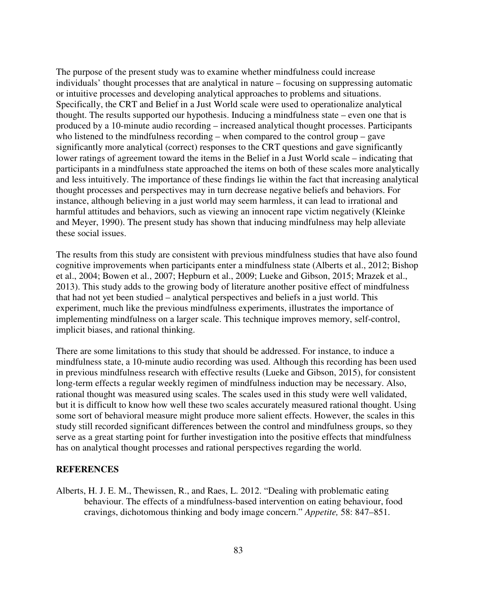The purpose of the present study was to examine whether mindfulness could increase individuals' thought processes that are analytical in nature – focusing on suppressing automatic or intuitive processes and developing analytical approaches to problems and situations. Specifically, the CRT and Belief in a Just World scale were used to operationalize analytical thought. The results supported our hypothesis. Inducing a mindfulness state – even one that is produced by a 10-minute audio recording – increased analytical thought processes. Participants who listened to the mindfulness recording – when compared to the control group – gave significantly more analytical (correct) responses to the CRT questions and gave significantly lower ratings of agreement toward the items in the Belief in a Just World scale – indicating that participants in a mindfulness state approached the items on both of these scales more analytically and less intuitively. The importance of these findings lie within the fact that increasing analytical thought processes and perspectives may in turn decrease negative beliefs and behaviors. For instance, although believing in a just world may seem harmless, it can lead to irrational and harmful attitudes and behaviors, such as viewing an innocent rape victim negatively (Kleinke and Meyer, 1990). The present study has shown that inducing mindfulness may help alleviate these social issues.

The results from this study are consistent with previous mindfulness studies that have also found cognitive improvements when participants enter a mindfulness state (Alberts et al., 2012; Bishop et al., 2004; Bowen et al., 2007; Hepburn et al., 2009; Lueke and Gibson, 2015; Mrazek et al., 2013). This study adds to the growing body of literature another positive effect of mindfulness that had not yet been studied – analytical perspectives and beliefs in a just world. This experiment, much like the previous mindfulness experiments, illustrates the importance of implementing mindfulness on a larger scale. This technique improves memory, self-control, implicit biases, and rational thinking.

There are some limitations to this study that should be addressed. For instance, to induce a mindfulness state, a 10-minute audio recording was used. Although this recording has been used in previous mindfulness research with effective results (Lueke and Gibson, 2015), for consistent long-term effects a regular weekly regimen of mindfulness induction may be necessary. Also, rational thought was measured using scales. The scales used in this study were well validated, but it is difficult to know how well these two scales accurately measured rational thought. Using some sort of behavioral measure might produce more salient effects. However, the scales in this study still recorded significant differences between the control and mindfulness groups, so they serve as a great starting point for further investigation into the positive effects that mindfulness has on analytical thought processes and rational perspectives regarding the world.

#### **REFERENCES**

Alberts, H. J. E. M., Thewissen, R., and Raes, L. 2012. "Dealing with problematic eating behaviour. The effects of a mindfulness-based intervention on eating behaviour, food cravings, dichotomous thinking and body image concern." *Appetite,* 58: 847–851.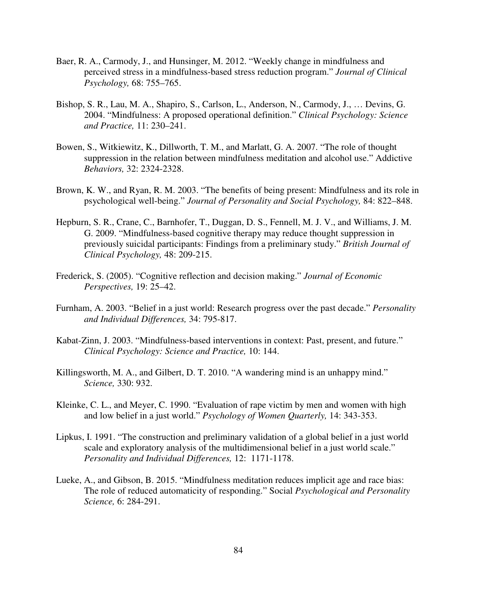- Baer, R. A., Carmody, J., and Hunsinger, M. 2012. "Weekly change in mindfulness and perceived stress in a mindfulness-based stress reduction program." *Journal of Clinical Psychology,* 68: 755–765.
- Bishop, S. R., Lau, M. A., Shapiro, S., Carlson, L., Anderson, N., Carmody, J., … Devins, G. 2004. "Mindfulness: A proposed operational definition." *Clinical Psychology: Science and Practice,* 11: 230–241.
- Bowen, S., Witkiewitz, K., Dillworth, T. M., and Marlatt, G. A. 2007. "The role of thought suppression in the relation between mindfulness meditation and alcohol use." Addictive *Behaviors,* 32: 2324-2328.
- Brown, K. W., and Ryan, R. M. 2003. "The benefits of being present: Mindfulness and its role in psychological well-being." *Journal of Personality and Social Psychology,* 84: 822–848.
- Hepburn, S. R., Crane, C., Barnhofer, T., Duggan, D. S., Fennell, M. J. V., and Williams, J. M. G. 2009. "Mindfulness-based cognitive therapy may reduce thought suppression in previously suicidal participants: Findings from a preliminary study." *British Journal of Clinical Psychology,* 48: 209-215.
- Frederick, S. (2005). "Cognitive reflection and decision making." *Journal of Economic Perspectives,* 19: 25–42.
- Furnham, A. 2003. "Belief in a just world: Research progress over the past decade." *Personality and Individual Differences,* 34: 795-817.
- Kabat-Zinn, J. 2003. "Mindfulness-based interventions in context: Past, present, and future." *Clinical Psychology: Science and Practice,* 10: 144.
- Killingsworth, M. A., and Gilbert, D. T. 2010. "A wandering mind is an unhappy mind." *Science,* 330: 932.
- Kleinke, C. L., and Meyer, C. 1990. "Evaluation of rape victim by men and women with high and low belief in a just world." *Psychology of Women Quarterly,* 14: 343-353.
- Lipkus, I. 1991. "The construction and preliminary validation of a global belief in a just world scale and exploratory analysis of the multidimensional belief in a just world scale." *Personality and Individual Differences,* 12: 1171-1178.
- Lueke, A., and Gibson, B. 2015. "Mindfulness meditation reduces implicit age and race bias: The role of reduced automaticity of responding." Social *Psychological and Personality Science,* 6: 284-291.